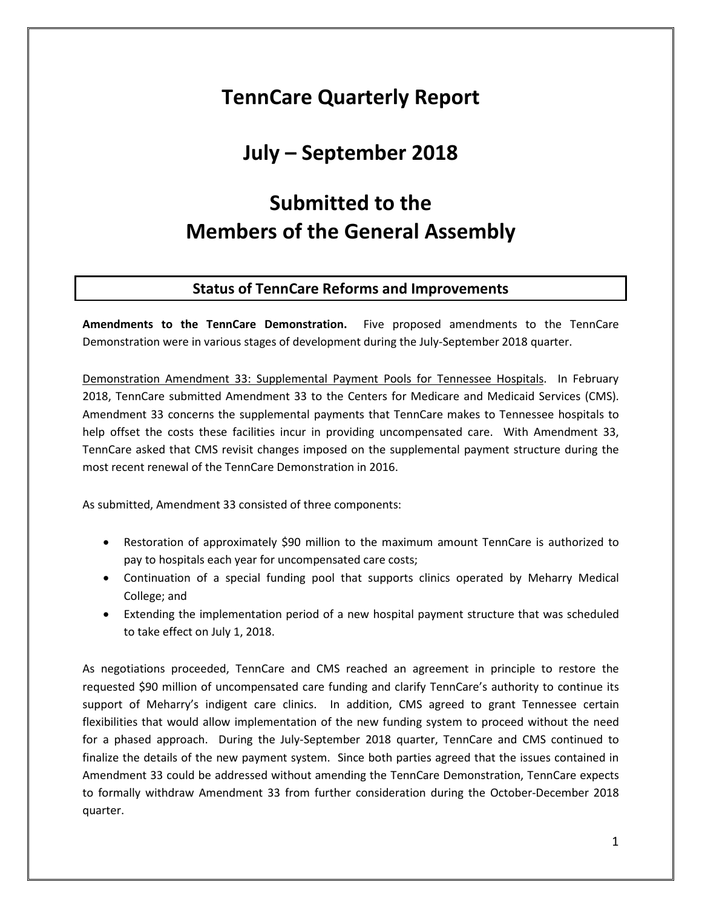# **TennCare Quarterly Report**

## **July – September 2018**

# **Submitted to the Members of the General Assembly**

## **Status of TennCare Reforms and Improvements**

**Amendments to the TennCare Demonstration.** Five proposed amendments to the TennCare Demonstration were in various stages of development during the July-September 2018 quarter.

Demonstration Amendment 33: Supplemental Payment Pools for Tennessee Hospitals. In February 2018, TennCare submitted Amendment 33 to the Centers for Medicare and Medicaid Services (CMS). Amendment 33 concerns the supplemental payments that TennCare makes to Tennessee hospitals to help offset the costs these facilities incur in providing uncompensated care. With Amendment 33, TennCare asked that CMS revisit changes imposed on the supplemental payment structure during the most recent renewal of the TennCare Demonstration in 2016.

As submitted, Amendment 33 consisted of three components:

- Restoration of approximately \$90 million to the maximum amount TennCare is authorized to pay to hospitals each year for uncompensated care costs;
- Continuation of a special funding pool that supports clinics operated by Meharry Medical College; and
- Extending the implementation period of a new hospital payment structure that was scheduled to take effect on July 1, 2018.

As negotiations proceeded, TennCare and CMS reached an agreement in principle to restore the requested \$90 million of uncompensated care funding and clarify TennCare's authority to continue its support of Meharry's indigent care clinics. In addition, CMS agreed to grant Tennessee certain flexibilities that would allow implementation of the new funding system to proceed without the need for a phased approach. During the July-September 2018 quarter, TennCare and CMS continued to finalize the details of the new payment system. Since both parties agreed that the issues contained in Amendment 33 could be addressed without amending the TennCare Demonstration, TennCare expects to formally withdraw Amendment 33 from further consideration during the October-December 2018 quarter.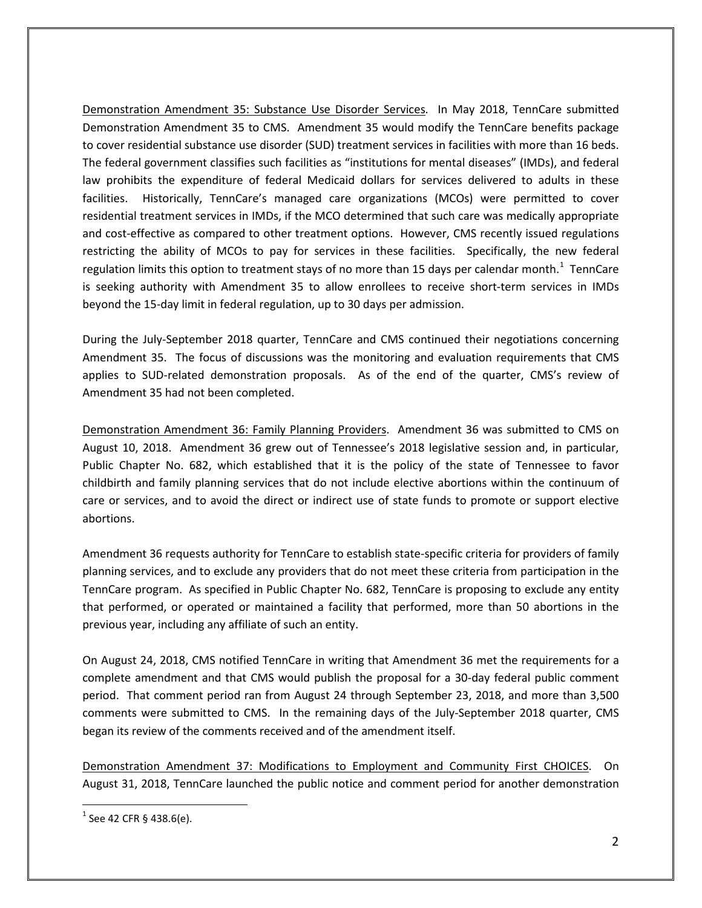Demonstration Amendment 35: Substance Use Disorder Services. In May 2018, TennCare submitted Demonstration Amendment 35 to CMS. Amendment 35 would modify the TennCare benefits package to cover residential substance use disorder (SUD) treatment services in facilities with more than 16 beds. The federal government classifies such facilities as "institutions for mental diseases" (IMDs), and federal law prohibits the expenditure of federal Medicaid dollars for services delivered to adults in these facilities. Historically, TennCare's managed care organizations (MCOs) were permitted to cover residential treatment services in IMDs, if the MCO determined that such care was medically appropriate and cost-effective as compared to other treatment options. However, CMS recently issued regulations restricting the ability of MCOs to pay for services in these facilities. Specifically, the new federal regulation limits this option to treatment stays of no more than [1](#page-1-0)5 days per calendar month.<sup>1</sup> TennCare is seeking authority with Amendment 35 to allow enrollees to receive short-term services in IMDs beyond the 15-day limit in federal regulation, up to 30 days per admission.

During the July-September 2018 quarter, TennCare and CMS continued their negotiations concerning Amendment 35. The focus of discussions was the monitoring and evaluation requirements that CMS applies to SUD-related demonstration proposals. As of the end of the quarter, CMS's review of Amendment 35 had not been completed.

Demonstration Amendment 36: Family Planning Providers. Amendment 36 was submitted to CMS on August 10, 2018. Amendment 36 grew out of Tennessee's 2018 legislative session and, in particular, Public Chapter No. 682, which established that it is the policy of the state of Tennessee to favor childbirth and family planning services that do not include elective abortions within the continuum of care or services, and to avoid the direct or indirect use of state funds to promote or support elective abortions.

Amendment 36 requests authority for TennCare to establish state-specific criteria for providers of family planning services, and to exclude any providers that do not meet these criteria from participation in the TennCare program. As specified in Public Chapter No. 682, TennCare is proposing to exclude any entity that performed, or operated or maintained a facility that performed, more than 50 abortions in the previous year, including any affiliate of such an entity.

On August 24, 2018, CMS notified TennCare in writing that Amendment 36 met the requirements for a complete amendment and that CMS would publish the proposal for a 30-day federal public comment period. That comment period ran from August 24 through September 23, 2018, and more than 3,500 comments were submitted to CMS. In the remaining days of the July-September 2018 quarter, CMS began its review of the comments received and of the amendment itself.

Demonstration Amendment 37: Modifications to Employment and Community First CHOICES. On August 31, 2018, TennCare launched the public notice and comment period for another demonstration

<span id="page-1-0"></span> $^{1}$  See 42 CFR § 438.6(e).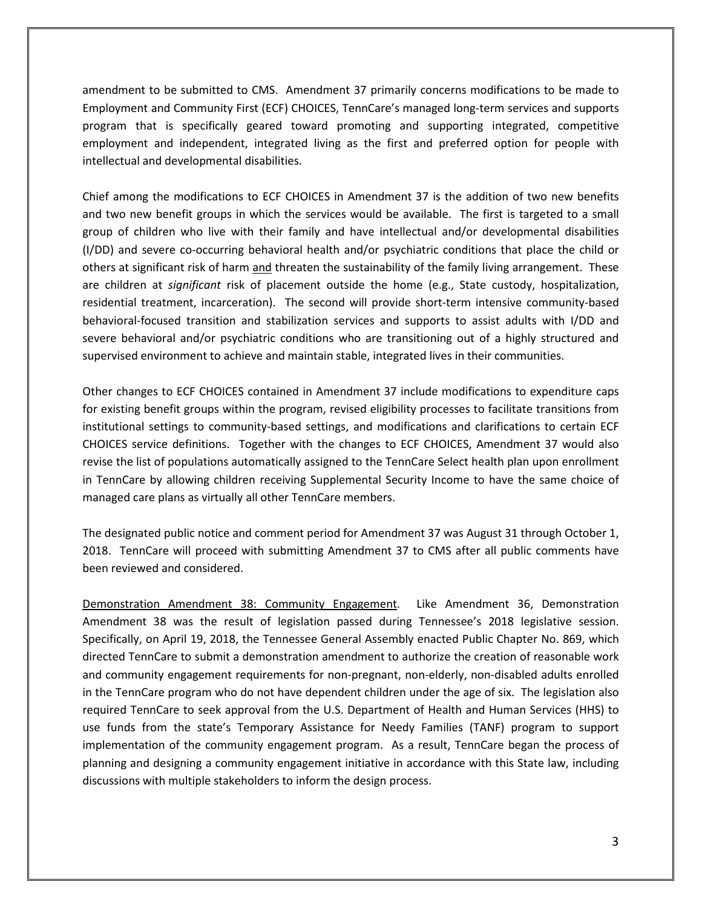amendment to be submitted to CMS. Amendment 37 primarily concerns modifications to be made to Employment and Community First (ECF) CHOICES, TennCare's managed long-term services and supports program that is specifically geared toward promoting and supporting integrated, competitive employment and independent, integrated living as the first and preferred option for people with intellectual and developmental disabilities.

Chief among the modifications to ECF CHOICES in Amendment 37 is the addition of two new benefits and two new benefit groups in which the services would be available. The first is targeted to a small group of children who live with their family and have intellectual and/or developmental disabilities (I/DD) and severe co-occurring behavioral health and/or psychiatric conditions that place the child or others at significant risk of harm and threaten the sustainability of the family living arrangement. These are children at *significant* risk of placement outside the home (e.g., State custody, hospitalization, residential treatment, incarceration). The second will provide short-term intensive community-based behavioral-focused transition and stabilization services and supports to assist adults with I/DD and severe behavioral and/or psychiatric conditions who are transitioning out of a highly structured and supervised environment to achieve and maintain stable, integrated lives in their communities.

Other changes to ECF CHOICES contained in Amendment 37 include modifications to expenditure caps for existing benefit groups within the program, revised eligibility processes to facilitate transitions from institutional settings to community-based settings, and modifications and clarifications to certain ECF CHOICES service definitions. Together with the changes to ECF CHOICES, Amendment 37 would also revise the list of populations automatically assigned to the TennCare Select health plan upon enrollment in TennCare by allowing children receiving Supplemental Security Income to have the same choice of managed care plans as virtually all other TennCare members.

The designated public notice and comment period for Amendment 37 was August 31 through October 1, 2018. TennCare will proceed with submitting Amendment 37 to CMS after all public comments have been reviewed and considered.

Demonstration Amendment 38: Community Engagement. Like Amendment 36, Demonstration Amendment 38 was the result of legislation passed during Tennessee's 2018 legislative session. Specifically, on April 19, 2018, the Tennessee General Assembly enacted Public Chapter No. 869, which directed TennCare to submit a demonstration amendment to authorize the creation of reasonable work and community engagement requirements for non-pregnant, non-elderly, non-disabled adults enrolled in the TennCare program who do not have dependent children under the age of six. The legislation also required TennCare to seek approval from the U.S. Department of Health and Human Services (HHS) to use funds from the state's Temporary Assistance for Needy Families (TANF) program to support implementation of the community engagement program. As a result, TennCare began the process of planning and designing a community engagement initiative in accordance with this State law, including discussions with multiple stakeholders to inform the design process.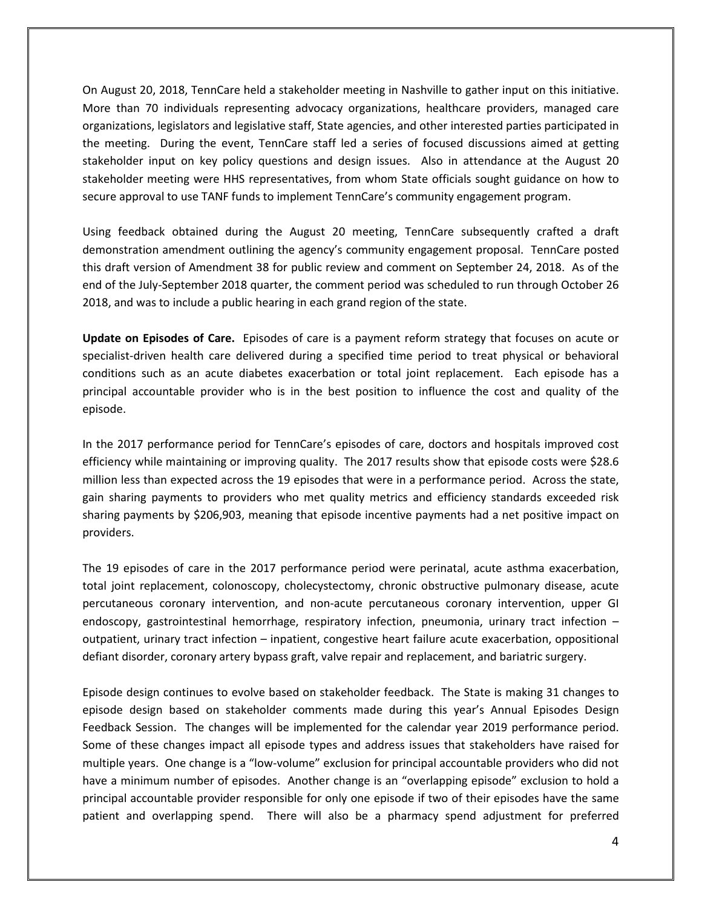On August 20, 2018, TennCare held a stakeholder meeting in Nashville to gather input on this initiative. More than 70 individuals representing advocacy organizations, healthcare providers, managed care organizations, legislators and legislative staff, State agencies, and other interested parties participated in the meeting. During the event, TennCare staff led a series of focused discussions aimed at getting stakeholder input on key policy questions and design issues. Also in attendance at the August 20 stakeholder meeting were HHS representatives, from whom State officials sought guidance on how to secure approval to use TANF funds to implement TennCare's community engagement program.

Using feedback obtained during the August 20 meeting, TennCare subsequently crafted a draft demonstration amendment outlining the agency's community engagement proposal. TennCare posted this draft version of Amendment 38 for public review and comment on September 24, 2018. As of the end of the July-September 2018 quarter, the comment period was scheduled to run through October 26 2018, and was to include a public hearing in each grand region of the state.

**Update on Episodes of Care.** Episodes of care is a payment reform strategy that focuses on acute or specialist-driven health care delivered during a specified time period to treat physical or behavioral conditions such as an acute diabetes exacerbation or total joint replacement. Each episode has a principal accountable provider who is in the best position to influence the cost and quality of the episode.

In the 2017 performance period for TennCare's episodes of care, doctors and hospitals improved cost efficiency while maintaining or improving quality. The 2017 results show that episode costs were \$28.6 million less than expected across the 19 episodes that were in a performance period. Across the state, gain sharing payments to providers who met quality metrics and efficiency standards exceeded risk sharing payments by \$206,903, meaning that episode incentive payments had a net positive impact on providers.

The 19 episodes of care in the 2017 performance period were perinatal, acute asthma exacerbation, total joint replacement, colonoscopy, cholecystectomy, chronic obstructive pulmonary disease, acute percutaneous coronary intervention, and non-acute percutaneous coronary intervention, upper GI endoscopy, gastrointestinal hemorrhage, respiratory infection, pneumonia, urinary tract infection – outpatient, urinary tract infection – inpatient, congestive heart failure acute exacerbation, oppositional defiant disorder, coronary artery bypass graft, valve repair and replacement, and bariatric surgery.

Episode design continues to evolve based on stakeholder feedback. The State is making 31 changes to episode design based on stakeholder comments made during this year's Annual Episodes Design Feedback Session. The changes will be implemented for the calendar year 2019 performance period. Some of these changes impact all episode types and address issues that stakeholders have raised for multiple years. One change is a "low-volume" exclusion for principal accountable providers who did not have a minimum number of episodes. Another change is an "overlapping episode" exclusion to hold a principal accountable provider responsible for only one episode if two of their episodes have the same patient and overlapping spend. There will also be a pharmacy spend adjustment for preferred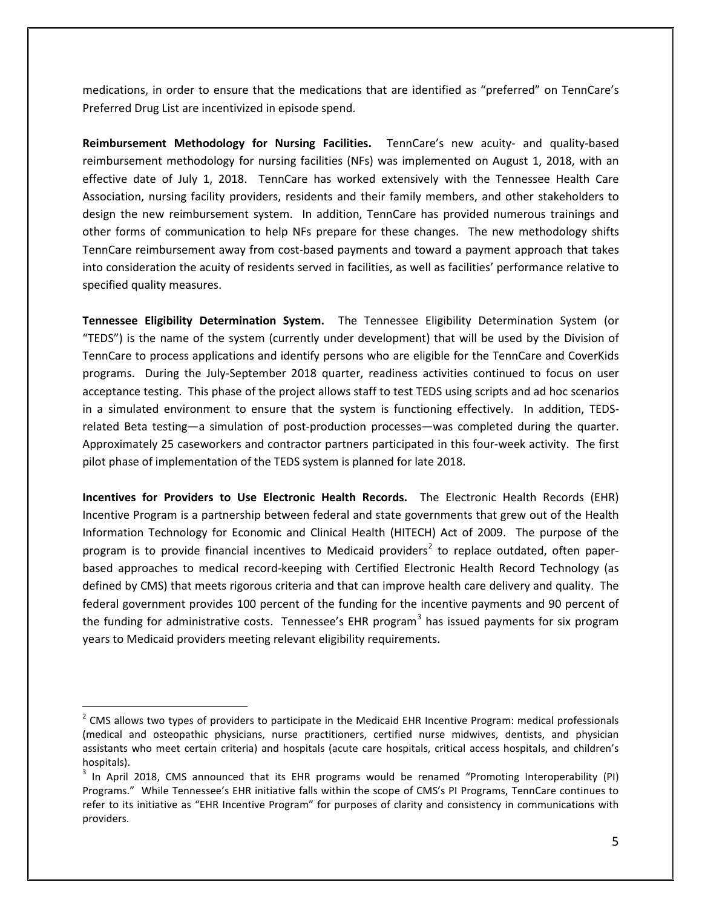medications, in order to ensure that the medications that are identified as "preferred" on TennCare's Preferred Drug List are incentivized in episode spend.

**Reimbursement Methodology for Nursing Facilities.** TennCare's new acuity- and quality-based reimbursement methodology for nursing facilities (NFs) was implemented on August 1, 2018, with an effective date of July 1, 2018. TennCare has worked extensively with the Tennessee Health Care Association, nursing facility providers, residents and their family members, and other stakeholders to design the new reimbursement system. In addition, TennCare has provided numerous trainings and other forms of communication to help NFs prepare for these changes. The new methodology shifts TennCare reimbursement away from cost-based payments and toward a payment approach that takes into consideration the acuity of residents served in facilities, as well as facilities' performance relative to specified quality measures.

**Tennessee Eligibility Determination System.** The Tennessee Eligibility Determination System (or "TEDS") is the name of the system (currently under development) that will be used by the Division of TennCare to process applications and identify persons who are eligible for the TennCare and CoverKids programs. During the July-September 2018 quarter, readiness activities continued to focus on user acceptance testing. This phase of the project allows staff to test TEDS using scripts and ad hoc scenarios in a simulated environment to ensure that the system is functioning effectively. In addition, TEDSrelated Beta testing—a simulation of post-production processes—was completed during the quarter. Approximately 25 caseworkers and contractor partners participated in this four-week activity. The first pilot phase of implementation of the TEDS system is planned for late 2018.

**Incentives for Providers to Use Electronic Health Records.** The Electronic Health Records (EHR) Incentive Program is a partnership between federal and state governments that grew out of the Health Information Technology for Economic and Clinical Health (HITECH) Act of 2009. The purpose of the program is to provide financial incentives to Medicaid providers<sup>[2](#page-4-0)</sup> to replace outdated, often paperbased approaches to medical record-keeping with Certified Electronic Health Record Technology (as defined by CMS) that meets rigorous criteria and that can improve health care delivery and quality. The federal government provides 100 percent of the funding for the incentive payments and 90 percent of the funding for administrative costs. Tennessee's EHR program<sup>[3](#page-4-1)</sup> has issued payments for six program years to Medicaid providers meeting relevant eligibility requirements.

<span id="page-4-0"></span><sup>&</sup>lt;sup>2</sup> CMS allows two types of providers to participate in the Medicaid EHR Incentive Program: medical professionals (medical and osteopathic physicians, nurse practitioners, certified nurse midwives, dentists, and physician assistants who meet certain criteria) and hospitals (acute care hospitals, critical access hospitals, and children's hospitals).

<span id="page-4-1"></span><sup>&</sup>lt;sup>3</sup> In April 2018, CMS announced that its EHR programs would be renamed "Promoting Interoperability (PI) Programs." While Tennessee's EHR initiative falls within the scope of CMS's PI Programs, TennCare continues to refer to its initiative as "EHR Incentive Program" for purposes of clarity and consistency in communications with providers.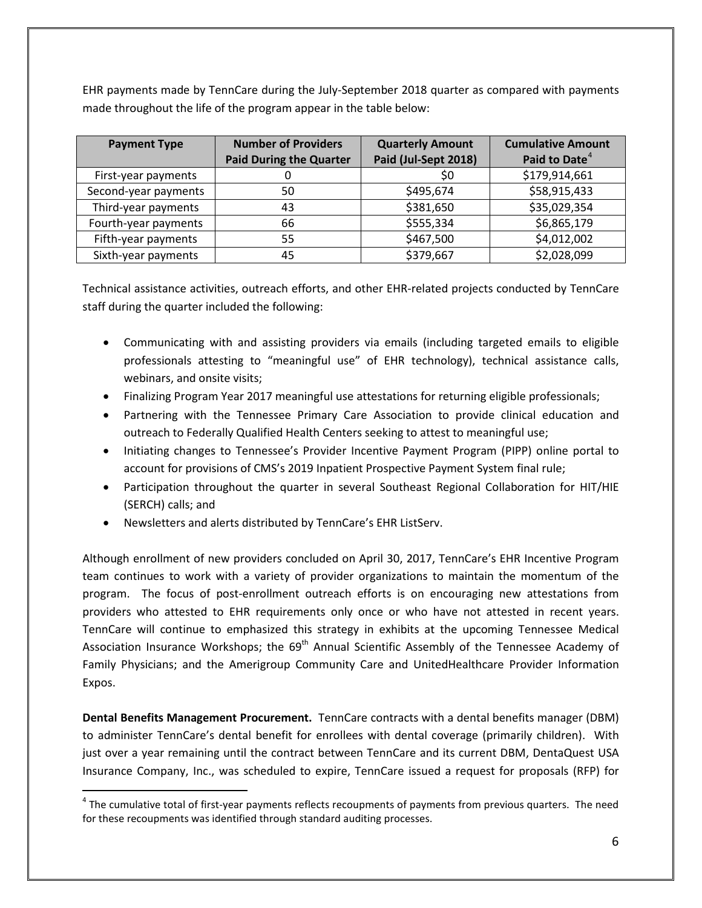EHR payments made by TennCare during the July-September 2018 quarter as compared with payments made throughout the life of the program appear in the table below:

| <b>Payment Type</b>  | <b>Number of Providers</b>     | <b>Quarterly Amount</b> | <b>Cumulative Amount</b>  |
|----------------------|--------------------------------|-------------------------|---------------------------|
|                      | <b>Paid During the Quarter</b> | Paid (Jul-Sept 2018)    | Paid to Date <sup>4</sup> |
| First-year payments  |                                | \$0                     | \$179,914,661             |
| Second-year payments | 50                             | \$495,674               | \$58,915,433              |
| Third-year payments  | 43                             | \$381,650               | \$35,029,354              |
| Fourth-year payments | 66                             | \$555,334               | \$6,865,179               |
| Fifth-year payments  | 55                             | \$467,500               | \$4,012,002               |
| Sixth-year payments  | 45                             | \$379,667               | \$2,028,099               |

Technical assistance activities, outreach efforts, and other EHR-related projects conducted by TennCare staff during the quarter included the following:

- Communicating with and assisting providers via emails (including targeted emails to eligible professionals attesting to "meaningful use" of EHR technology), technical assistance calls, webinars, and onsite visits;
- Finalizing Program Year 2017 meaningful use attestations for returning eligible professionals;
- Partnering with the Tennessee Primary Care Association to provide clinical education and outreach to Federally Qualified Health Centers seeking to attest to meaningful use;
- Initiating changes to Tennessee's Provider Incentive Payment Program (PIPP) online portal to account for provisions of CMS's 2019 Inpatient Prospective Payment System final rule;
- Participation throughout the quarter in several Southeast Regional Collaboration for HIT/HIE (SERCH) calls; and
- Newsletters and alerts distributed by TennCare's EHR ListServ.

 $\overline{a}$ 

Although enrollment of new providers concluded on April 30, 2017, TennCare's EHR Incentive Program team continues to work with a variety of provider organizations to maintain the momentum of the program. The focus of post-enrollment outreach efforts is on encouraging new attestations from providers who attested to EHR requirements only once or who have not attested in recent years. TennCare will continue to emphasized this strategy in exhibits at the upcoming Tennessee Medical Association Insurance Workshops; the 69<sup>th</sup> Annual Scientific Assembly of the Tennessee Academy of Family Physicians; and the Amerigroup Community Care and UnitedHealthcare Provider Information Expos.

**Dental Benefits Management Procurement.** TennCare contracts with a dental benefits manager (DBM) to administer TennCare's dental benefit for enrollees with dental coverage (primarily children). With just over a year remaining until the contract between TennCare and its current DBM, DentaQuest USA Insurance Company, Inc., was scheduled to expire, TennCare issued a request for proposals (RFP) for

<span id="page-5-0"></span> $4$  The cumulative total of first-year payments reflects recoupments of payments from previous quarters. The need for these recoupments was identified through standard auditing processes.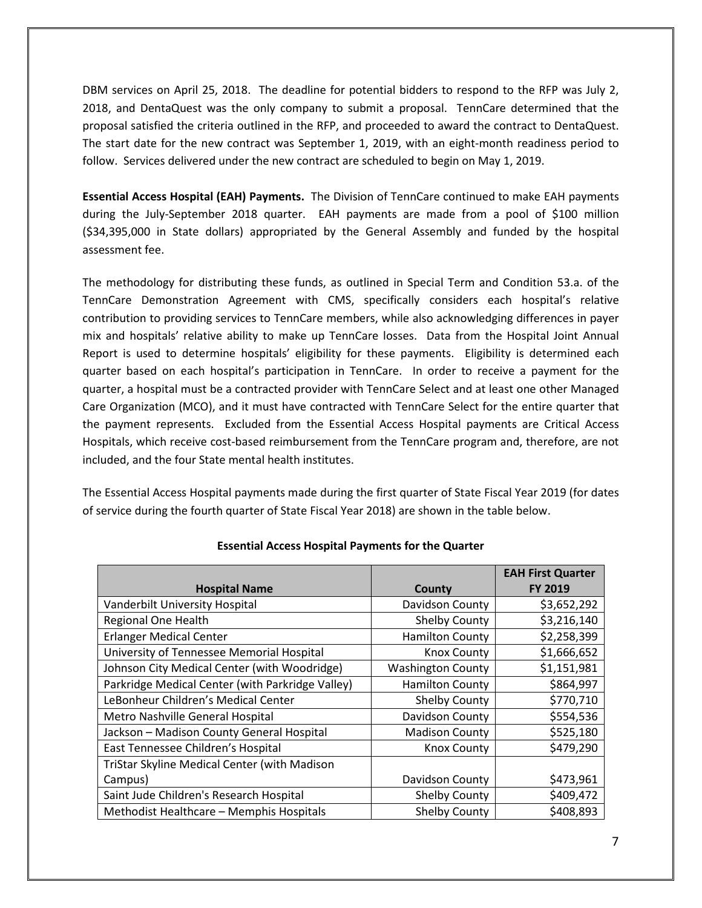DBM services on April 25, 2018. The deadline for potential bidders to respond to the RFP was July 2, 2018, and DentaQuest was the only company to submit a proposal. TennCare determined that the proposal satisfied the criteria outlined in the RFP, and proceeded to award the contract to DentaQuest. The start date for the new contract was September 1, 2019, with an eight-month readiness period to follow. Services delivered under the new contract are scheduled to begin on May 1, 2019.

**Essential Access Hospital (EAH) Payments.** The Division of TennCare continued to make EAH payments during the July-September 2018 quarter. EAH payments are made from a pool of \$100 million (\$34,395,000 in State dollars) appropriated by the General Assembly and funded by the hospital assessment fee.

The methodology for distributing these funds, as outlined in Special Term and Condition 53.a. of the TennCare Demonstration Agreement with CMS, specifically considers each hospital's relative contribution to providing services to TennCare members, while also acknowledging differences in payer mix and hospitals' relative ability to make up TennCare losses. Data from the Hospital Joint Annual Report is used to determine hospitals' eligibility for these payments. Eligibility is determined each quarter based on each hospital's participation in TennCare. In order to receive a payment for the quarter, a hospital must be a contracted provider with TennCare Select and at least one other Managed Care Organization (MCO), and it must have contracted with TennCare Select for the entire quarter that the payment represents. Excluded from the Essential Access Hospital payments are Critical Access Hospitals, which receive cost-based reimbursement from the TennCare program and, therefore, are not included, and the four State mental health institutes.

The Essential Access Hospital payments made during the first quarter of State Fiscal Year 2019 (for dates of service during the fourth quarter of State Fiscal Year 2018) are shown in the table below.

| <b>Hospital Name</b>                             | County                   | <b>EAH First Quarter</b><br><b>FY 2019</b> |
|--------------------------------------------------|--------------------------|--------------------------------------------|
| Vanderbilt University Hospital                   | Davidson County          | \$3,652,292                                |
|                                                  |                          |                                            |
| Regional One Health                              | Shelby County            | \$3,216,140                                |
| <b>Erlanger Medical Center</b>                   | <b>Hamilton County</b>   | \$2,258,399                                |
| University of Tennessee Memorial Hospital        | <b>Knox County</b>       | \$1,666,652                                |
| Johnson City Medical Center (with Woodridge)     | <b>Washington County</b> | \$1,151,981                                |
| Parkridge Medical Center (with Parkridge Valley) | <b>Hamilton County</b>   | \$864,997                                  |
| LeBonheur Children's Medical Center              | Shelby County            | \$770,710                                  |
| Metro Nashville General Hospital                 | Davidson County          | \$554,536                                  |
| Jackson - Madison County General Hospital        | <b>Madison County</b>    | \$525,180                                  |
| East Tennessee Children's Hospital               | <b>Knox County</b>       | \$479,290                                  |
| TriStar Skyline Medical Center (with Madison     |                          |                                            |
| Campus)                                          | Davidson County          | \$473,961                                  |
| Saint Jude Children's Research Hospital          | Shelby County            | \$409,472                                  |
| Methodist Healthcare - Memphis Hospitals         | Shelby County            | \$408,893                                  |

#### **Essential Access Hospital Payments for the Quarter**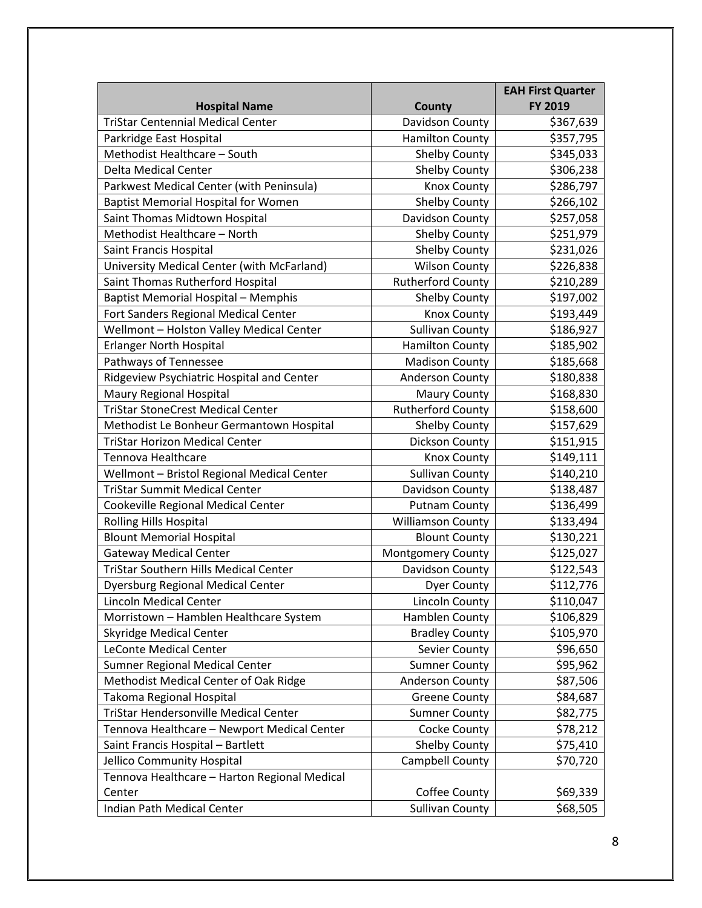|                                              |                          | <b>EAH First Quarter</b> |
|----------------------------------------------|--------------------------|--------------------------|
| <b>Hospital Name</b>                         | County                   | FY 2019                  |
| <b>TriStar Centennial Medical Center</b>     | Davidson County          | \$367,639                |
| Parkridge East Hospital                      | <b>Hamilton County</b>   | \$357,795                |
| Methodist Healthcare - South                 | <b>Shelby County</b>     | \$345,033                |
| <b>Delta Medical Center</b>                  | <b>Shelby County</b>     | \$306,238                |
| Parkwest Medical Center (with Peninsula)     | <b>Knox County</b>       | \$286,797                |
| <b>Baptist Memorial Hospital for Women</b>   | <b>Shelby County</b>     | \$266,102                |
| Saint Thomas Midtown Hospital                | Davidson County          | \$257,058                |
| Methodist Healthcare - North                 | <b>Shelby County</b>     | \$251,979                |
| Saint Francis Hospital                       | <b>Shelby County</b>     | \$231,026                |
| University Medical Center (with McFarland)   | <b>Wilson County</b>     | \$226,838                |
| Saint Thomas Rutherford Hospital             | <b>Rutherford County</b> | \$210,289                |
| <b>Baptist Memorial Hospital - Memphis</b>   | Shelby County            | \$197,002                |
| Fort Sanders Regional Medical Center         | <b>Knox County</b>       | \$193,449                |
| Wellmont - Holston Valley Medical Center     | <b>Sullivan County</b>   | \$186,927                |
| <b>Erlanger North Hospital</b>               | <b>Hamilton County</b>   | \$185,902                |
| Pathways of Tennessee                        | <b>Madison County</b>    | \$185,668                |
| Ridgeview Psychiatric Hospital and Center    | <b>Anderson County</b>   | \$180,838                |
| Maury Regional Hospital                      | <b>Maury County</b>      | \$168,830                |
| <b>TriStar StoneCrest Medical Center</b>     | <b>Rutherford County</b> | \$158,600                |
| Methodist Le Bonheur Germantown Hospital     | <b>Shelby County</b>     | \$157,629                |
| <b>TriStar Horizon Medical Center</b>        | Dickson County           | \$151,915                |
| Tennova Healthcare                           | <b>Knox County</b>       | \$149,111                |
| Wellmont - Bristol Regional Medical Center   | <b>Sullivan County</b>   | \$140,210                |
| <b>TriStar Summit Medical Center</b>         | Davidson County          | \$138,487                |
| Cookeville Regional Medical Center           | <b>Putnam County</b>     | \$136,499                |
| <b>Rolling Hills Hospital</b>                | <b>Williamson County</b> | \$133,494                |
| <b>Blount Memorial Hospital</b>              | <b>Blount County</b>     | \$130,221                |
| <b>Gateway Medical Center</b>                | <b>Montgomery County</b> | \$125,027                |
| <b>TriStar Southern Hills Medical Center</b> | Davidson County          | \$122,543                |
| <b>Dyersburg Regional Medical Center</b>     | <b>Dyer County</b>       | \$112,776                |
| <b>Lincoln Medical Center</b>                | <b>Lincoln County</b>    | \$110,047                |
| Morristown - Hamblen Healthcare System       | Hamblen County           | \$106,829                |
| <b>Skyridge Medical Center</b>               | <b>Bradley County</b>    | \$105,970                |
| LeConte Medical Center                       | Sevier County            | \$96,650                 |
| Sumner Regional Medical Center               | <b>Sumner County</b>     | \$95,962                 |
| Methodist Medical Center of Oak Ridge        | <b>Anderson County</b>   | \$87,506                 |
| Takoma Regional Hospital                     | <b>Greene County</b>     | \$84,687                 |
| TriStar Hendersonville Medical Center        | <b>Sumner County</b>     | \$82,775                 |
| Tennova Healthcare - Newport Medical Center  | Cocke County             | \$78,212                 |
| Saint Francis Hospital - Bartlett            | <b>Shelby County</b>     | \$75,410                 |
| Jellico Community Hospital                   | Campbell County          | \$70,720                 |
| Tennova Healthcare - Harton Regional Medical |                          |                          |
| Center                                       | Coffee County            | \$69,339                 |
| Indian Path Medical Center                   | <b>Sullivan County</b>   | \$68,505                 |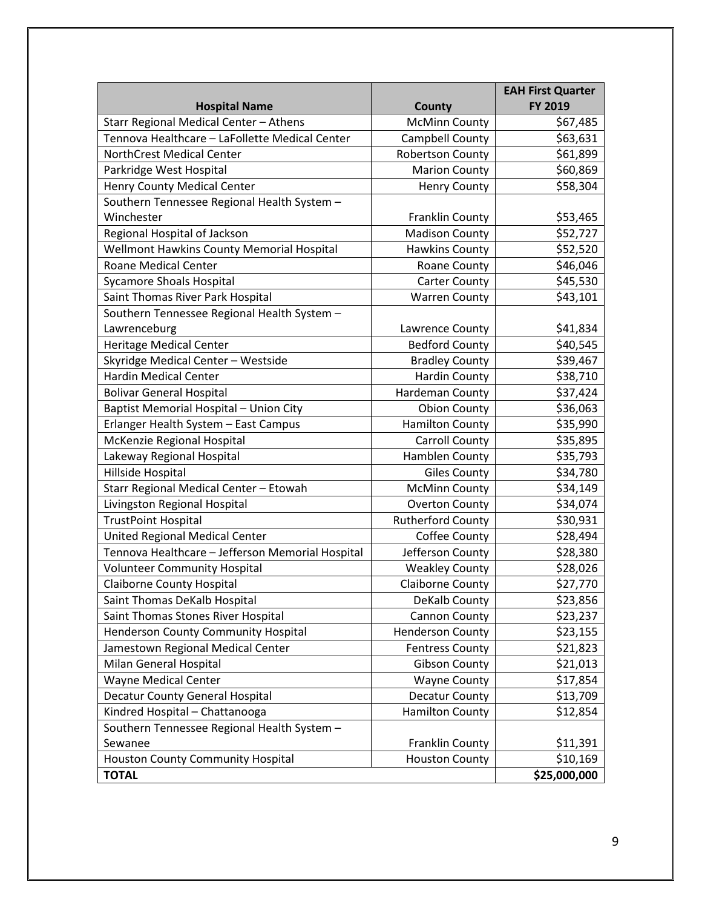|                                                  |                          | <b>EAH First Quarter</b> |
|--------------------------------------------------|--------------------------|--------------------------|
| <b>Hospital Name</b>                             | <b>County</b>            | FY 2019                  |
| Starr Regional Medical Center - Athens           | <b>McMinn County</b>     | \$67,485                 |
| Tennova Healthcare - LaFollette Medical Center   | Campbell County          | \$63,631                 |
| <b>NorthCrest Medical Center</b>                 | <b>Robertson County</b>  | \$61,899                 |
| Parkridge West Hospital                          | <b>Marion County</b>     | \$60,869                 |
| <b>Henry County Medical Center</b>               | <b>Henry County</b>      | \$58,304                 |
| Southern Tennessee Regional Health System -      |                          |                          |
| Winchester                                       | Franklin County          | \$53,465                 |
| Regional Hospital of Jackson                     | <b>Madison County</b>    | \$52,727                 |
| Wellmont Hawkins County Memorial Hospital        | <b>Hawkins County</b>    | \$52,520                 |
| <b>Roane Medical Center</b>                      | Roane County             | \$46,046                 |
| <b>Sycamore Shoals Hospital</b>                  | <b>Carter County</b>     | \$45,530                 |
| Saint Thomas River Park Hospital                 | <b>Warren County</b>     | \$43,101                 |
| Southern Tennessee Regional Health System -      |                          |                          |
| Lawrenceburg                                     | Lawrence County          | \$41,834                 |
| <b>Heritage Medical Center</b>                   | <b>Bedford County</b>    | \$40,545                 |
| Skyridge Medical Center - Westside               | <b>Bradley County</b>    | \$39,467                 |
| <b>Hardin Medical Center</b>                     | <b>Hardin County</b>     | \$38,710                 |
| <b>Bolivar General Hospital</b>                  | Hardeman County          | \$37,424                 |
| Baptist Memorial Hospital - Union City           | <b>Obion County</b>      | \$36,063                 |
| Erlanger Health System - East Campus             | <b>Hamilton County</b>   | \$35,990                 |
| McKenzie Regional Hospital                       | <b>Carroll County</b>    | \$35,895                 |
| Lakeway Regional Hospital                        | Hamblen County           | \$35,793                 |
| Hillside Hospital                                | <b>Giles County</b>      | \$34,780                 |
| Starr Regional Medical Center - Etowah           | <b>McMinn County</b>     | \$34,149                 |
| Livingston Regional Hospital                     | <b>Overton County</b>    | \$34,074                 |
| <b>TrustPoint Hospital</b>                       | <b>Rutherford County</b> | \$30,931                 |
| United Regional Medical Center                   | Coffee County            | \$28,494                 |
| Tennova Healthcare - Jefferson Memorial Hospital | Jefferson County         | \$28,380                 |
| <b>Volunteer Community Hospital</b>              | <b>Weakley County</b>    | \$28,026                 |
| <b>Claiborne County Hospital</b>                 | <b>Claiborne County</b>  | \$27,770                 |
| Saint Thomas DeKalb Hospital                     | DeKalb County            | \$23,856                 |
| Saint Thomas Stones River Hospital               | Cannon County            | \$23,237                 |
| <b>Henderson County Community Hospital</b>       | <b>Henderson County</b>  | \$23,155                 |
| Jamestown Regional Medical Center                | <b>Fentress County</b>   | \$21,823                 |
| Milan General Hospital                           | <b>Gibson County</b>     | \$21,013                 |
| Wayne Medical Center                             | <b>Wayne County</b>      | \$17,854                 |
| Decatur County General Hospital                  | Decatur County           | \$13,709                 |
| Kindred Hospital - Chattanooga                   | <b>Hamilton County</b>   | \$12,854                 |
| Southern Tennessee Regional Health System -      |                          |                          |
| Sewanee                                          | Franklin County          | \$11,391                 |
| <b>Houston County Community Hospital</b>         | <b>Houston County</b>    | \$10,169                 |
| <b>TOTAL</b>                                     |                          | \$25,000,000             |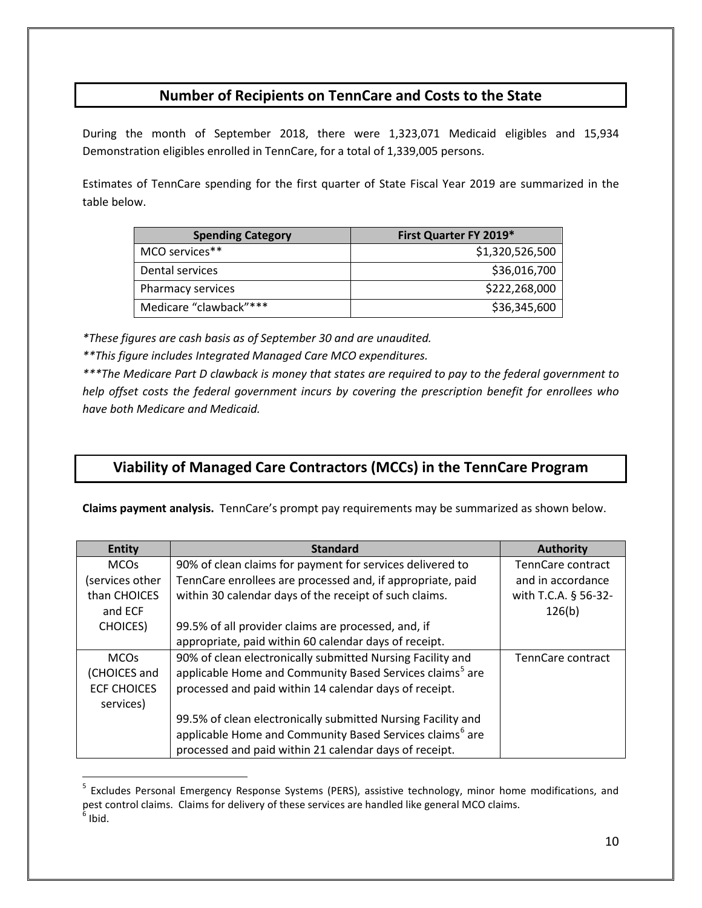## **Number of Recipients on TennCare and Costs to the State**

During the month of September 2018, there were 1,323,071 Medicaid eligibles and 15,934 Demonstration eligibles enrolled in TennCare, for a total of 1,339,005 persons.

Estimates of TennCare spending for the first quarter of State Fiscal Year 2019 are summarized in the table below.

| <b>Spending Category</b> | First Quarter FY 2019* |
|--------------------------|------------------------|
| MCO services**           | \$1,320,526,500        |
| Dental services          | \$36,016,700           |
| Pharmacy services        | \$222,268,000          |
| Medicare "clawback"***   | \$36,345,600           |

*\*These figures are cash basis as of September 30 and are unaudited.*

*\*\*This figure includes Integrated Managed Care MCO expenditures.*

 $\overline{a}$ 

*\*\*\*The Medicare Part D clawback is money that states are required to pay to the federal government to help offset costs the federal government incurs by covering the prescription benefit for enrollees who have both Medicare and Medicaid.*

## **Viability of Managed Care Contractors (MCCs) in the TennCare Program**

**Claims payment analysis.** TennCare's prompt pay requirements may be summarized as shown below.

| <b>Entity</b>      | <b>Standard</b>                                                      | <b>Authority</b>     |
|--------------------|----------------------------------------------------------------------|----------------------|
| <b>MCOs</b>        | 90% of clean claims for payment for services delivered to            | TennCare contract    |
| (services other    | TennCare enrollees are processed and, if appropriate, paid           | and in accordance    |
| than CHOICES       | within 30 calendar days of the receipt of such claims.               | with T.C.A. § 56-32- |
| and ECF            |                                                                      | 126(b)               |
| <b>CHOICES</b> )   | 99.5% of all provider claims are processed, and, if                  |                      |
|                    | appropriate, paid within 60 calendar days of receipt.                |                      |
| <b>MCOs</b>        | 90% of clean electronically submitted Nursing Facility and           | TennCare contract    |
| (CHOICES and       | applicable Home and Community Based Services claims <sup>5</sup> are |                      |
| <b>ECF CHOICES</b> | processed and paid within 14 calendar days of receipt.               |                      |
| services)          |                                                                      |                      |
|                    | 99.5% of clean electronically submitted Nursing Facility and         |                      |
|                    | applicable Home and Community Based Services claims <sup>6</sup> are |                      |
|                    | processed and paid within 21 calendar days of receipt.               |                      |

<span id="page-9-1"></span><span id="page-9-0"></span><sup>&</sup>lt;sup>5</sup> Excludes Personal Emergency Response Systems (PERS), assistive technology, minor home modifications, and pest control claims. Claims for delivery of these services are handled like general MCO claims.<br><sup>6</sup> Ibid.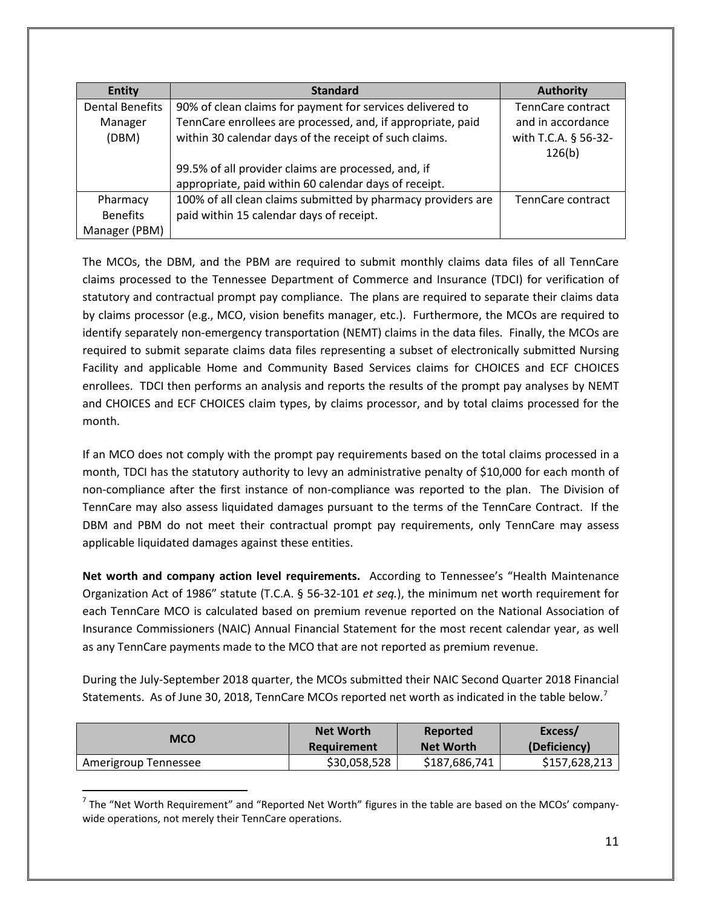| <b>Entity</b>          | <b>Standard</b>                                              | <b>Authority</b>               |
|------------------------|--------------------------------------------------------------|--------------------------------|
| <b>Dental Benefits</b> | 90% of clean claims for payment for services delivered to    | TennCare contract              |
| Manager                | TennCare enrollees are processed, and, if appropriate, paid  | and in accordance              |
| (DBM)                  | within 30 calendar days of the receipt of such claims.       | with T.C.A. § 56-32-<br>126(b) |
|                        | 99.5% of all provider claims are processed, and, if          |                                |
|                        | appropriate, paid within 60 calendar days of receipt.        |                                |
| Pharmacy               | 100% of all clean claims submitted by pharmacy providers are | TennCare contract              |
| <b>Benefits</b>        | paid within 15 calendar days of receipt.                     |                                |
| Manager (PBM)          |                                                              |                                |

The MCOs, the DBM, and the PBM are required to submit monthly claims data files of all TennCare claims processed to the Tennessee Department of Commerce and Insurance (TDCI) for verification of statutory and contractual prompt pay compliance. The plans are required to separate their claims data by claims processor (e.g., MCO, vision benefits manager, etc.). Furthermore, the MCOs are required to identify separately non-emergency transportation (NEMT) claims in the data files. Finally, the MCOs are required to submit separate claims data files representing a subset of electronically submitted Nursing Facility and applicable Home and Community Based Services claims for CHOICES and ECF CHOICES enrollees. TDCI then performs an analysis and reports the results of the prompt pay analyses by NEMT and CHOICES and ECF CHOICES claim types, by claims processor, and by total claims processed for the month.

If an MCO does not comply with the prompt pay requirements based on the total claims processed in a month, TDCI has the statutory authority to levy an administrative penalty of \$10,000 for each month of non-compliance after the first instance of non-compliance was reported to the plan. The Division of TennCare may also assess liquidated damages pursuant to the terms of the TennCare Contract. If the DBM and PBM do not meet their contractual prompt pay requirements, only TennCare may assess applicable liquidated damages against these entities.

**Net worth and company action level requirements.** According to Tennessee's "Health Maintenance Organization Act of 1986" statute (T.C.A. § 56-32-101 *et seq.*), the minimum net worth requirement for each TennCare MCO is calculated based on premium revenue reported on the National Association of Insurance Commissioners (NAIC) Annual Financial Statement for the most recent calendar year, as well as any TennCare payments made to the MCO that are not reported as premium revenue.

During the July-September 2018 quarter, the MCOs submitted their NAIC Second Quarter 2018 Financial Statements. As of June 30, 2018, TennCare MCOs reported net worth as indicated in the table below.<sup>[7](#page-10-0)</sup>

| MCO                  | <b>Net Worth</b> | Reported         | Excess/       |
|----------------------|------------------|------------------|---------------|
|                      | Requirement      | <b>Net Worth</b> | (Deficiency)  |
| Amerigroup Tennessee | \$30,058,528     | \$187,686,741    | \$157,628,213 |

<span id="page-10-0"></span> $<sup>7</sup>$  The "Net Worth Requirement" and "Reported Net Worth" figures in the table are based on the MCOs' company-</sup> wide operations, not merely their TennCare operations.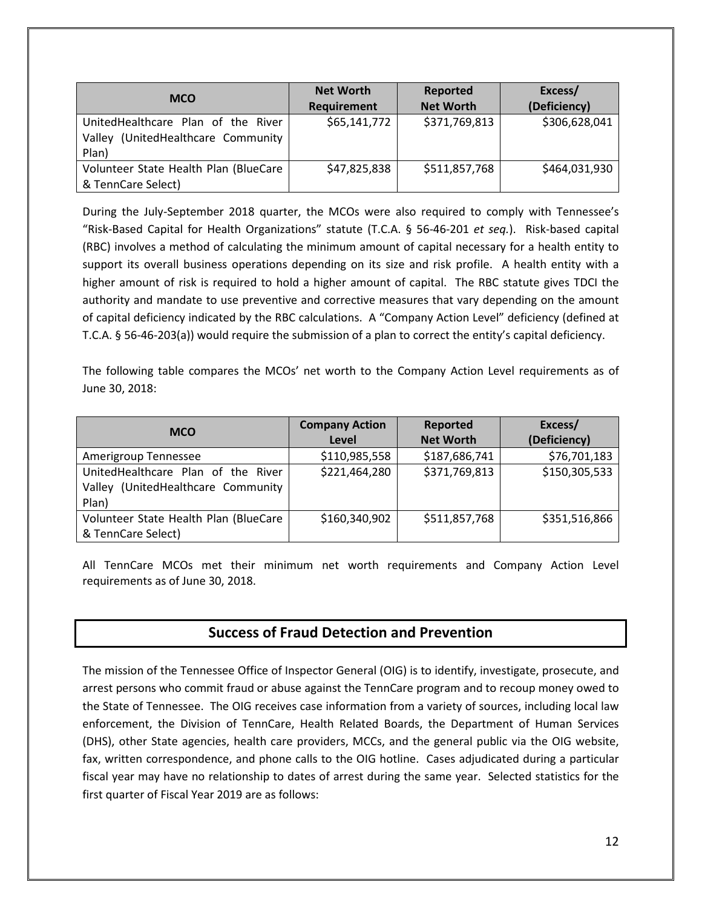| <b>MCO</b>                                                                           | <b>Net Worth</b><br>Requirement | Reported<br><b>Net Worth</b> | Excess/<br>(Deficiency) |
|--------------------------------------------------------------------------------------|---------------------------------|------------------------------|-------------------------|
| UnitedHealthcare Plan of the River<br>(UnitedHealthcare Community<br>Valley<br>Plan) | \$65,141,772                    | \$371,769,813                | \$306,628,041           |
| Volunteer State Health Plan (BlueCare<br>& TennCare Select)                          | \$47,825,838                    | \$511,857,768                | \$464,031,930           |

During the July-September 2018 quarter, the MCOs were also required to comply with Tennessee's "Risk-Based Capital for Health Organizations" statute (T.C.A. § 56-46-201 *et seq.*). Risk-based capital (RBC) involves a method of calculating the minimum amount of capital necessary for a health entity to support its overall business operations depending on its size and risk profile. A health entity with a higher amount of risk is required to hold a higher amount of capital. The RBC statute gives TDCI the authority and mandate to use preventive and corrective measures that vary depending on the amount of capital deficiency indicated by the RBC calculations. A "Company Action Level" deficiency (defined at T.C.A. § 56-46-203(a)) would require the submission of a plan to correct the entity's capital deficiency.

The following table compares the MCOs' net worth to the Company Action Level requirements as of June 30, 2018:

| <b>MCO</b>                            | <b>Company Action</b><br>Level | Reported<br><b>Net Worth</b> | Excess/<br>(Deficiency) |
|---------------------------------------|--------------------------------|------------------------------|-------------------------|
|                                       |                                |                              |                         |
| Amerigroup Tennessee                  | \$110,985,558                  | \$187,686,741                | \$76,701,183            |
| UnitedHealthcare Plan of the River    | \$221,464,280                  | \$371,769,813                | \$150,305,533           |
| Valley (UnitedHealthcare Community    |                                |                              |                         |
| Plan)                                 |                                |                              |                         |
| Volunteer State Health Plan (BlueCare | \$160,340,902                  | \$511,857,768                | \$351,516,866           |
| & TennCare Select)                    |                                |                              |                         |

All TennCare MCOs met their minimum net worth requirements and Company Action Level requirements as of June 30, 2018.

### **Success of Fraud Detection and Prevention**

The mission of the Tennessee Office of Inspector General (OIG) is to identify, investigate, prosecute, and arrest persons who commit fraud or abuse against the TennCare program and to recoup money owed to the State of Tennessee.The OIG receives case information from a variety of sources, including local law enforcement, the Division of TennCare, Health Related Boards, the Department of Human Services (DHS), other State agencies, health care providers, MCCs, and the general public via the OIG website, fax, written correspondence, and phone calls to the OIG hotline. Cases adjudicated during a particular fiscal year may have no relationship to dates of arrest during the same year. Selected statistics for the first quarter of Fiscal Year 2019 are as follows: